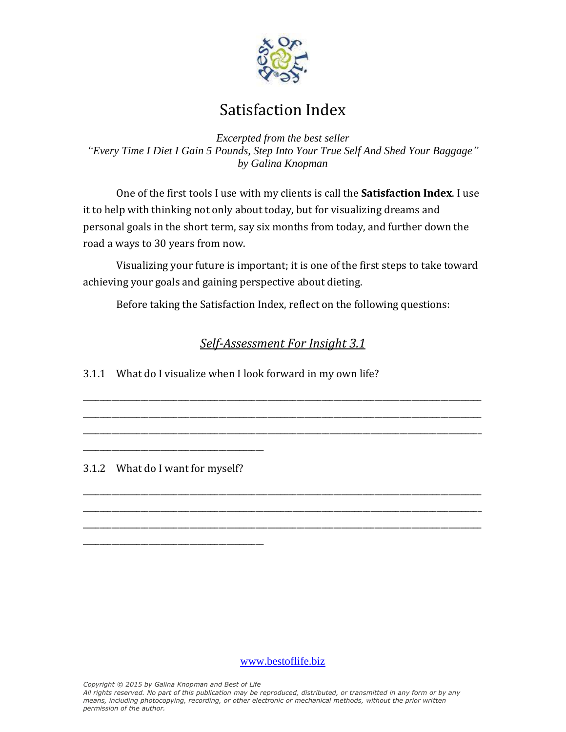

## Satisfaction Index

*Excerpted from the best seller "Every Time I Diet I Gain 5 Pounds, Step Into Your True Self And Shed Your Baggage" by Galina Knopman*

One of the first tools I use with my clients is call the **Satisfaction Index**. I use it to help with thinking not only about today, but for visualizing dreams and personal goals in the short term, say six months from today, and further down the road a ways to 30 years from now.

Visualizing your future is important; it is one of the first steps to take toward achieving your goals and gaining perspective about dieting.

Before taking the Satisfaction Index, reflect on the following questions:

## *Self-Assessment For Insight 3.1*

\_\_\_\_\_\_\_\_\_\_\_\_\_\_\_\_\_\_\_\_\_\_\_\_\_\_\_\_\_\_\_\_\_\_\_\_\_\_\_\_\_\_\_\_\_\_\_\_\_\_\_\_\_\_\_\_\_\_\_\_\_\_\_\_\_\_\_\_\_\_\_\_\_\_\_\_\_\_\_\_\_\_\_\_\_\_\_\_\_\_\_\_\_\_\_\_\_ \_\_\_\_\_\_\_\_\_\_\_\_\_\_\_\_\_\_\_\_\_\_\_\_\_\_\_\_\_\_\_\_\_\_\_\_\_\_\_\_\_\_\_\_\_\_\_\_\_\_\_\_\_\_\_\_\_\_\_\_\_\_\_\_\_\_\_\_\_\_\_\_\_\_\_\_\_\_\_\_\_\_\_\_\_\_\_\_\_\_\_\_\_\_\_\_\_ \_\_\_\_\_\_\_\_\_\_\_\_\_\_\_\_\_\_\_\_\_\_\_\_\_\_\_\_\_\_\_\_\_\_\_\_\_\_\_\_\_\_\_\_\_\_\_\_\_\_\_\_\_\_\_\_\_\_\_\_\_\_\_\_\_\_\_\_\_\_\_\_\_\_\_\_\_\_\_\_\_\_\_\_\_\_\_\_\_\_\_\_\_\_\_\_\_

\_\_\_\_\_\_\_\_\_\_\_\_\_\_\_\_\_\_\_\_\_\_\_\_\_\_\_\_\_\_\_\_\_\_\_\_\_\_\_\_\_\_\_\_\_\_\_\_\_\_\_\_\_\_\_\_\_\_\_\_\_\_\_\_\_\_\_\_\_\_\_\_\_\_\_\_\_\_\_\_\_\_\_\_\_\_\_\_\_\_\_\_\_\_\_\_\_ \_\_\_\_\_\_\_\_\_\_\_\_\_\_\_\_\_\_\_\_\_\_\_\_\_\_\_\_\_\_\_\_\_\_\_\_\_\_\_\_\_\_\_\_\_\_\_\_\_\_\_\_\_\_\_\_\_\_\_\_\_\_\_\_\_\_\_\_\_\_\_\_\_\_\_\_\_\_\_\_\_\_\_\_\_\_\_\_\_\_\_\_\_\_\_\_\_ \_\_\_\_\_\_\_\_\_\_\_\_\_\_\_\_\_\_\_\_\_\_\_\_\_\_\_\_\_\_\_\_\_\_\_\_\_\_\_\_\_\_\_\_\_\_\_\_\_\_\_\_\_\_\_\_\_\_\_\_\_\_\_\_\_\_\_\_\_\_\_\_\_\_\_\_\_\_\_\_\_\_\_\_\_\_\_\_\_\_\_\_\_\_\_\_\_

3.1.1 What do I visualize when I look forward in my own life?

3.1.2 What do I want for myself?

\_\_\_\_\_\_\_\_\_\_\_\_\_\_\_\_\_\_\_\_\_\_\_\_\_\_\_\_\_\_\_\_\_\_\_\_\_\_\_\_\_\_\_\_

\_\_\_\_\_\_\_\_\_\_\_\_\_\_\_\_\_\_\_\_\_\_\_\_\_\_\_\_\_\_\_\_\_\_\_\_\_\_\_\_\_\_\_\_

[www.bestoflife.biz](http://www.bestoflife.biz/)

*Copyright © 2015 by Galina Knopman and Best of Life*

*All rights reserved. No part of this publication may be reproduced, distributed, or transmitted in any form or by any means, including photocopying, recording, or other electronic or mechanical methods, without the prior written permission of the author.*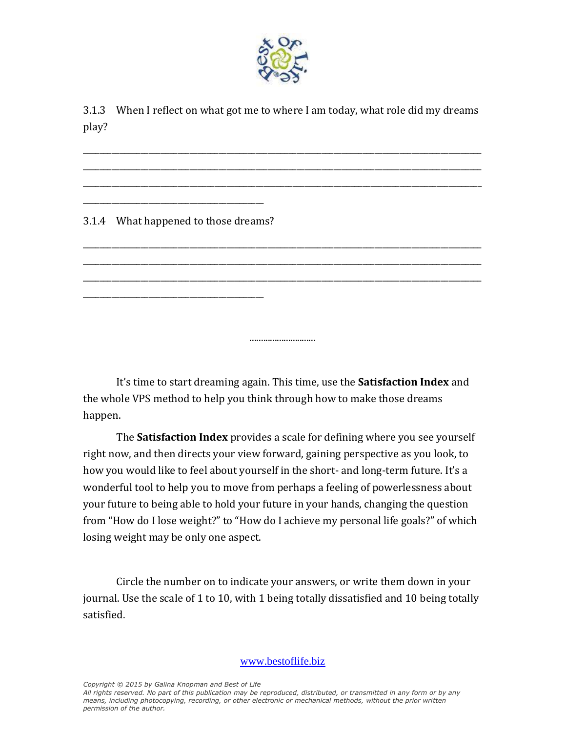

3.1.3 When I reflect on what got me to where I am today, what role did my dreams play?

\_\_\_\_\_\_\_\_\_\_\_\_\_\_\_\_\_\_\_\_\_\_\_\_\_\_\_\_\_\_\_\_\_\_\_\_\_\_\_\_\_\_\_\_\_\_\_\_\_\_\_\_\_\_\_\_\_\_\_\_\_\_\_\_\_\_\_\_\_\_\_\_\_\_\_\_\_\_\_\_\_\_\_\_\_\_\_\_\_\_\_\_\_\_\_\_\_ \_\_\_\_\_\_\_\_\_\_\_\_\_\_\_\_\_\_\_\_\_\_\_\_\_\_\_\_\_\_\_\_\_\_\_\_\_\_\_\_\_\_\_\_\_\_\_\_\_\_\_\_\_\_\_\_\_\_\_\_\_\_\_\_\_\_\_\_\_\_\_\_\_\_\_\_\_\_\_\_\_\_\_\_\_\_\_\_\_\_\_\_\_\_\_\_\_ \_\_\_\_\_\_\_\_\_\_\_\_\_\_\_\_\_\_\_\_\_\_\_\_\_\_\_\_\_\_\_\_\_\_\_\_\_\_\_\_\_\_\_\_\_\_\_\_\_\_\_\_\_\_\_\_\_\_\_\_\_\_\_\_\_\_\_\_\_\_\_\_\_\_\_\_\_\_\_\_\_\_\_\_\_\_\_\_\_\_\_\_\_\_\_\_\_

\_\_\_\_\_\_\_\_\_\_\_\_\_\_\_\_\_\_\_\_\_\_\_\_\_\_\_\_\_\_\_\_\_\_\_\_\_\_\_\_\_\_\_\_\_\_\_\_\_\_\_\_\_\_\_\_\_\_\_\_\_\_\_\_\_\_\_\_\_\_\_\_\_\_\_\_\_\_\_\_\_\_\_\_\_\_\_\_\_\_\_\_\_\_\_\_\_ \_\_\_\_\_\_\_\_\_\_\_\_\_\_\_\_\_\_\_\_\_\_\_\_\_\_\_\_\_\_\_\_\_\_\_\_\_\_\_\_\_\_\_\_\_\_\_\_\_\_\_\_\_\_\_\_\_\_\_\_\_\_\_\_\_\_\_\_\_\_\_\_\_\_\_\_\_\_\_\_\_\_\_\_\_\_\_\_\_\_\_\_\_\_\_\_\_ \_\_\_\_\_\_\_\_\_\_\_\_\_\_\_\_\_\_\_\_\_\_\_\_\_\_\_\_\_\_\_\_\_\_\_\_\_\_\_\_\_\_\_\_\_\_\_\_\_\_\_\_\_\_\_\_\_\_\_\_\_\_\_\_\_\_\_\_\_\_\_\_\_\_\_\_\_\_\_\_\_\_\_\_\_\_\_\_\_\_\_\_\_\_\_\_\_

3.1.4 What happened to those dreams?

\_\_\_\_\_\_\_\_\_\_\_\_\_\_\_\_\_\_\_\_\_\_\_\_\_\_\_\_\_\_\_\_\_\_\_\_\_\_\_\_\_\_\_\_

\_\_\_\_\_\_\_\_\_\_\_\_\_\_\_\_\_\_\_\_\_\_\_\_\_\_\_\_\_\_\_\_\_\_\_\_\_\_\_\_\_\_\_\_

It's time to start dreaming again. This time, use the **Satisfaction Index** and the whole VPS method to help you think through how to make those dreams happen.

.............................

The **Satisfaction Index** provides a scale for defining where you see yourself right now, and then directs your view forward, gaining perspective as you look, to how you would like to feel about yourself in the short- and long-term future. It's a wonderful tool to help you to move from perhaps a feeling of powerlessness about your future to being able to hold your future in your hands, changing the question from "How do I lose weight?" to "How do I achieve my personal life goals?" of which losing weight may be only one aspect.

Circle the number on to indicate your answers, or write them down in your journal. Use the scale of 1 to 10, with 1 being totally dissatisfied and 10 being totally satisfied.

[www.bestoflife.biz](http://www.bestoflife.biz/)

*Copyright © 2015 by Galina Knopman and Best of Life*

*All rights reserved. No part of this publication may be reproduced, distributed, or transmitted in any form or by any means, including photocopying, recording, or other electronic or mechanical methods, without the prior written permission of the author.*